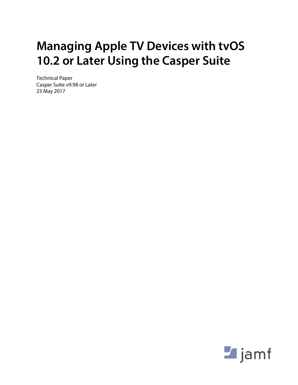# **Managing Apple TV Devices with tvOS 10.2 or Later Using the Casper Suite**

Technical Paper Casper Suite v9.98 or Later 23 May 2017

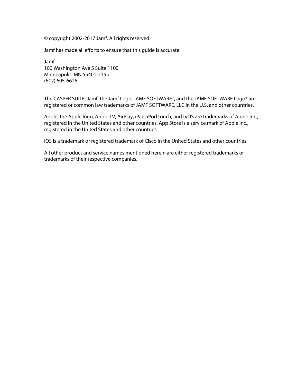© copyright 2002-2017 Jamf. All rights reserved.

Jamf has made all efforts to ensure that this guide is accurate.

Jamf 100 Washington Ave S Suite 1100 Minneapolis, MN 55401-2155 (612) 605-6625

The CASPER SUITE, Jamf, the Jamf Logo, JAMF SOFTWARE®, and the JAMF SOFTWARE Logo® are registered or common law trademarks of JAMF SOFTWARE, LLC in the U.S. and other countries.

Apple, the Apple logo, Apple TV, AirPlay, iPad, iPod touch, and tvOS are trademarks of Apple Inc., registered in the United States and other countries. App Store is a service mark of Apple Inc., registered in the United States and other countries.

IOS is a trademark or registered trademark of Cisco in the United States and other countries.

All other product and service names mentioned herein are either registered trademarks or trademarks of their respective companies.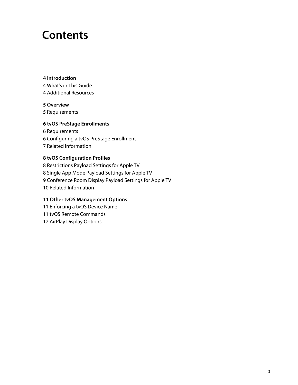## **Contents**

#### **[Introduction](#page-3-0)**

 [What's in This Guide](#page-3-1) [Additional Resources](#page-3-2)

#### **[Overview](#page-4-0)**

[Requirements](#page-4-1)

#### **[tvOS PreStage Enrollments](#page-5-0)**

 [Requirements](#page-5-1) [Configuring a tvOS PreStage Enrollment](#page-5-2) [Related Information](#page-6-0)

#### **[tvOS Configuration Profiles](#page-7-0)**

 [Restrictions Payload Settings for Apple TV](#page-7-1) [Single App Mode Payload Settings for Apple TV](#page-8-0) [Conference Room Display Payload Settings for Apple TV](#page-8-1) [Related Information](#page-9-0)

#### **[Other tvOS Management Options](#page-10-0)**

[Enforcing a tvOS Device Name](#page-10-1)

- [tvOS Remote Commands](#page-10-2)
- [AirPlay Display Options](#page-11-0)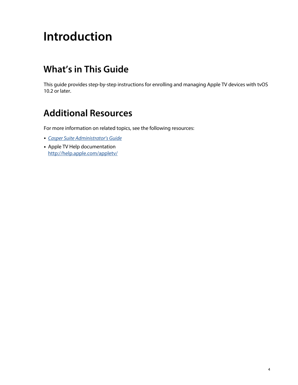# <span id="page-3-0"></span>**Introduction**

### <span id="page-3-1"></span>**What's in This Guide**

This guide provides step-by-step instructions for enrolling and managing Apple TV devices with tvOS 10.2 or later.

### <span id="page-3-2"></span>**Additional Resources**

For more information on related topics, see the following resources:

- *[Casper Suite Administrator's Guide](http://docs.jamf.com/casper-suite/administrator-guide/index.html)*
- Apple TV Help documentation <http://help.apple.com/appletv/>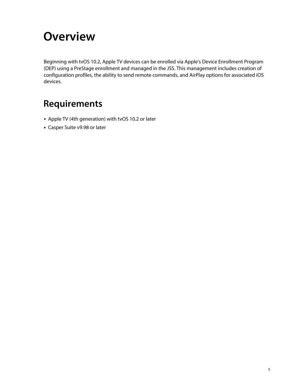## <span id="page-4-0"></span>**Overview**

Beginning with tvOS 10.2, Apple TV devices can be enrolled via Apple's Device Enrollment Program (DEP) using a PreStage enrollment and managed in the JSS. This management includes creation of configuration profiles, the ability to send remote commands, and AirPlay options for associated iOS devices.

### <span id="page-4-1"></span>**Requirements**

- Apple TV (4th generation) with tvOS 10.2 or later
- Casper Suite v9.98 or later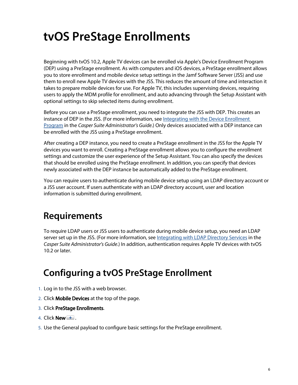# <span id="page-5-0"></span>**tvOS PreStage Enrollments**

Beginning with tvOS 10.2, Apple TV devices can be enrolled via Apple's Device Enrollment Program (DEP) using a PreStage enrollment. As with computers and iOS devices, a PreStage enrollment allows you to store enrollment and mobile device setup settings in the Jamf Software Server (JSS) and use them to enroll new Apple TV devices with the JSS. This reduces the amount of time and interaction it takes to prepare mobile devices for use. For Apple TV, this includes supervising devices, requiring users to apply the MDM profile for enrollment, and auto advancing through the Setup Assistant with optional settings to skip selected items during enrollment.

Before you can use a PreStage enrollment, you need to integrate the JSS with DEP. This creates an instance of DEP in the JSS. (For more information, see [Integrating with the Device Enrollment](http://docs.jamf.com/casper-suite/administrator-guide/Integrating_with_the_Device_Enrollment_Program.html)  [Program](http://docs.jamf.com/casper-suite/administrator-guide/Integrating_with_the_Device_Enrollment_Program.html) in the *Casper Suite Administrator's Guide*.) Only devices associated with a DEP instance can be enrolled with the JSS using a PreStage enrollment.

After creating a DEP instance, you need to create a PreStage enrollment in the JSS for the Apple TV devices you want to enroll. Creating a PreStage enrollment allows you to configure the enrollment settings and customize the user experience of the Setup Assistant. You can also specify the devices that should be enrolled using the PreStage enrollment. In addition, you can specify that devices newly associated with the DEP instance be automatically added to the PreStage enrollment.

You can require users to authenticate during mobile device setup using an LDAP directory account or a JSS user account. If users authenticate with an LDAP directory account, user and location information is submitted during enrollment.

### <span id="page-5-1"></span>**Requirements**

To require LDAP users or JSS users to authenticate during mobile device setup, you need an LDAP server set up in the JSS. (For more information, see [Integrating with LDAP Directory Services](http://docs.jamf.com/casper-suite/administrator-guide/Integrating_with_LDAP_Directory_Services.html) in the *Casper Suite Administrator's Guide*.) In addition, authentication requires Apple TV devices with tvOS 10.2 or later.

### **Configuring a tvOS PreStage Enrollment**

- <span id="page-5-2"></span>1. Log in to the JSS with a web browser.
- 2. Click **Mobile Devices** at the top of the page.
- 3. Click PreStage Enrollments.
- 4. Click  $\mathsf{New} \Box$ .
- 5. Use the General payload to configure basic settings for the PreStage enrollment.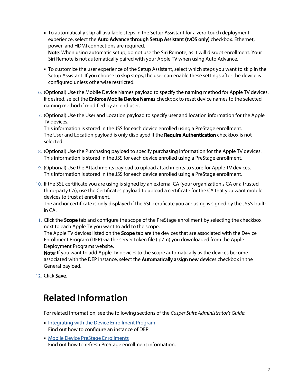- To automatically skip all available steps in the Setup Assistant for a zero-touch deployment experience, select the Auto Advance through Setup Assistant (tvOS only) checkbox. Ethernet, power, and HDMI connections are required. Note: When using automatic setup, do not use the Siri Remote, as it will disrupt enrollment. Your Siri Remote is not automatically paired with your Apple TV when using Auto Advance.
- To customize the user experience of the Setup Assistant, select which steps you want to skip in the Setup Assistant. If you choose to skip steps, the user can enable these settings after the device is configured unless otherwise restricted.
- 6. (Optional) Use the Mobile Device Names payload to specify the naming method for Apple TV devices. If desired, select the **Enforce Mobile Device Names** checkbox to reset device names to the selected naming method if modified by an end user.
- 7. (Optional) Use the User and Location payload to specify user and location information for the Apple TV devices.

This information is stored in the JSS for each device enrolled using a PreStage enrollment. The User and Location payload is only displayed if the Require Authentication checkbox is not selected.

- 8. (Optional) Use the Purchasing payload to specify purchasing information for the Apple TV devices. This information is stored in the JSS for each device enrolled using a PreStage enrollment.
- 9. (Optional) Use the Attachments payload to upload attachments to store for Apple TV devices. This information is stored in the JSS for each device enrolled using a PreStage enrollment.
- 10. If the SSL certificate you are using is signed by an external CA (your organization's CA or a trusted third-party CA), use the Certificates payload to upload a certificate for the CA that you want mobile devices to trust at enrollment.

The anchor certificate is only displayed if the SSL certificate you are using is signed by the JSS's builtin CA.

11. Click the Scope tab and configure the scope of the PreStage enrollment by selecting the checkbox next to each Apple TV you want to add to the scope.

The Apple TV devices listed on the **Scope** tab are the devices that are associated with the Device Enrollment Program (DEP) via the server token file (.p7m) you downloaded from the Apple Deployment Programs website.

Note: If you want to add Apple TV devices to the scope automatically as the devices become associated with the DEP instance, select the **Automatically assign new devices** checkbox in the General payload.

<span id="page-6-0"></span>12. Click Save.

#### **Related Information**

For related information, see the following sections of the *Casper Suite Administrator's Guide*:

- **[Integrating with the Device Enrollment Program](http://docs.jamf.com/casper-suite/administrator-guide/Integrating_with_the_Device_Enrollment_Program.html)** Find out how to configure an instance of DEP.
- **[Mobile Device PreStage Enrollments](http://docs.jamf.com/casper-suite/administrator-guide/Mobile_Device_PreStage_Enrollments.html)** Find out how to refresh PreStage enrollment information.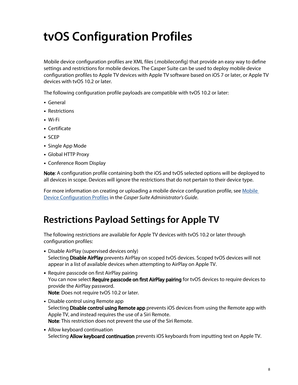# <span id="page-7-0"></span>**tvOS Configuration Profiles**

Mobile device configuration profiles are XML files (.mobileconfig) that provide an easy way to define settings and restrictions for mobile devices. The Casper Suite can be used to deploy mobile device configuration profiles to Apple TV devices with Apple TV software based on iOS 7 or later, or Apple TV devices with tvOS 10.2 or later.

The following configuration profile payloads are compatible with tvOS 10.2 or later:

- General
- Restrictions
- Wi-Fi
- Certificate
- SCEP
- Single App Mode
- Global HTTP Proxy
- Conference Room Display

Note: A configuration profile containing both the iOS and tvOS selected options will be deployed to all devices in scope. Devices will ignore the restrictions that do not pertain to their device type.

For more information on creating or uploading a mobile device configuration profile, see Mobile [Device Configuration Profiles](http://docs.jamf.com/casper-suite/administrator-guide/Mobile_Device_Configuration_Profiles.html) in the *Casper Suite Administrator's Guide*.

#### <span id="page-7-1"></span>**Restrictions Payload Settings for Apple TV**

The following restrictions are available for Apple TV devices with tvOS 10.2 or later through configuration profiles:

- Disable AirPlay (supervised devices only) Selecting Disable AirPlay prevents AirPlay on scoped tvOS devices. Scoped tvOS devices will not appear in a list of available devices when attempting to AirPlay on Apple TV.
- Require passcode on first AirPlay pairing You can now select Require passcode on first AirPlay pairing for tvOS devices to require devices to provide the AirPlay password. Note: Does not require tvOS 10.2 or later.
- Disable control using Remote app Selecting **Disable control using Remote app** prevents iOS devices from using the Remote app with Apple TV, and instead requires the use of a Siri Remote. Note: This restriction does not prevent the use of the Siri Remote.
- Allow keyboard continuation Selecting Allow keyboard continuation prevents iOS keyboards from inputting text on Apple TV.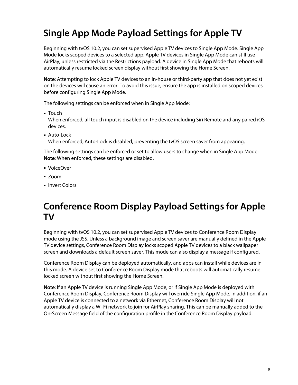## <span id="page-8-0"></span>**Single App Mode Payload Settings for Apple TV**

Beginning with tvOS 10.2, you can set supervised Apple TV devices to Single App Mode. Single App Mode locks scoped devices to a selected app. Apple TV devices in Single App Mode can still use AirPlay, unless restricted via the Restrictions payload. A device in Single App Mode that reboots will automatically resume locked screen display without first showing the Home Screen.

Note: Attempting to lock Apple TV devices to an in-house or third-party app that does not yet exist on the devices will cause an error. To avoid this issue, ensure the app is installed on scoped devices before configuring Single App Mode.

The following settings can be enforced when in Single App Mode:

Touch

When enforced, all touch input is disabled on the device including Siri Remote and any paired iOS devices.

Auto-Lock When enforced, Auto-Lock is disabled, preventing the tvOS screen saver from appearing.

The following settings can be enforced or set to allow users to change when in Single App Mode: Note: When enforced, these settings are disabled.

- VoiceOver
- Zoom
- **Invert Colors**

#### <span id="page-8-1"></span>**Conference Room Display Payload Settings for Apple TV**

Beginning with tvOS 10.2, you can set supervised Apple TV devices to Conference Room Display mode using the JSS. Unless a background image and screen saver are manually defined in the Apple TV device settings, Conference Room Display locks scoped Apple TV devices to a black wallpaper screen and downloads a default screen saver. This mode can also display a message if configured.

Conference Room Display can be deployed automatically, and apps can install while devices are in this mode. A device set to Conference Room Display mode that reboots will automatically resume locked screen without first showing the Home Screen.

Note: If an Apple TV device is running Single App Mode, or if Single App Mode is deployed with Conference Room Display, Conference Room Display will override Single App Mode. In addition, if an Apple TV device is connected to a network via Ethernet, Conference Room Display will not automatically display a Wi-Fi network to join for AirPlay sharing. This can be manually added to the On-Screen Message field of the configuration profile in the Conference Room Display payload.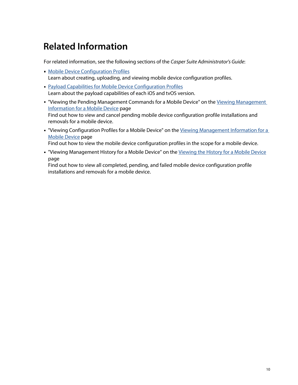## <span id="page-9-0"></span>**Related Information**

For related information, see the following sections of the *Casper Suite Administrator's Guide*:

- **[Mobile Device Configuration Profiles](http://docs.jamf.com/casper-suite/administrator-guide/Mobile_Device_Configuration_Profiles.html)** Learn about creating, uploading, and viewing mobile device configuration profiles.
- **[Payload Capabilities for Mobile Device Configuration Profiles](http://docs.jamf.com/casper-suite/administrator-guide/Payload_Capabilities_for_Mobile_Device_Configuration_Profiles.html)** Learn about the payload capabilities of each iOS and tvOS version.
- " "Viewing the Pending Management Commands for a Mobile Device" on the Viewing Management [Information for a Mobile Device](http://docs.jamf.com/casper-suite/administrator-guide/Viewing_Management_Information_for_a_Mobile_Device.html) page Find out how to view and cancel pending mobile device configuration profile installations and removals for a mobile device.
- "Viewing Configuration Profiles for a Mobile Device" on the Viewing Management Information for a [Mobile Device](http://docs.jamf.com/casper-suite/administrator-guide/Viewing_Management_Information_for_a_Mobile_Device.html) page

Find out how to view the mobile device configuration profiles in the scope for a mobile device.

" "Viewing Management History for a Mobile Device" on the [Viewing the History for a Mobile Device](http://docs.jamf.com/casper-suite/administrator-guide/Viewing_the_History_for_a_Mobile_Device.html) page

Find out how to view all completed, pending, and failed mobile device configuration profile installations and removals for a mobile device.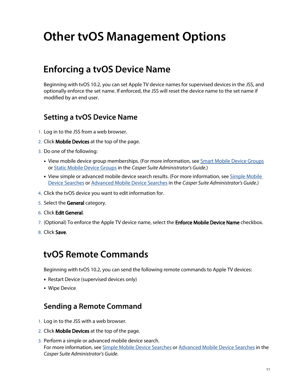# <span id="page-10-0"></span>**Other tvOS Management Options**

#### <span id="page-10-1"></span>**Enforcing a tvOS Device Name**

Beginning with tvOS 10.2, you can set Apple TV device names for supervised devices in the JSS, and optionally enforce the set name. If enforced, the JSS will reset the device name to the set name if modified by an end user.

#### **Setting a tvOS Device Name**

- 1. Log in to the JSS from a web browser.
- 2. Click **Mobile Devices** at the top of the page.
- 3. Do one of the following:
	- View mobile device group memberships. (For more information, see [Smart Mobile Device Groups](http://docs.jamf.com/casper-suite/administrator-guide/Smart_Mobile_Device_Groups.html) or [Static Mobile Device Groups](http://docs.jamf.com/casper-suite/administrator-guide/Static_Mobile_Device_Groups.html) in the *Casper Suite Administrator's Guide.*)
	- View simple or advanced mobile device search results. (For more information, see Simple Mobile [Device Searches](http://docs.jamf.com/casper-suite/administrator-guide/Simple_Mobile_Device_Searches.html) or [Advanced Mobile Device Searches](http://docs.jamf.com/casper-suite/administrator-guide/Advanced_Mobile_Device_Searches.html) in the *Casper Suite Administrator's Guide.*)
- 4. Click the tvOS device you want to edit information for.
- 5. Select the General category.
- 6. Click Edit General.
- 7. (Optional) To enforce the Apple TV device name, select the **Enforce Mobile Device Name** checkbox.
- 8. Click Save.

#### <span id="page-10-2"></span>**tvOS Remote Commands**

Beginning with tvOS 10.2, you can send the following remote commands to Apple TV devices:

- Restart Device (supervised devices only)
- **Wipe Device**

#### **Sending a Remote Command**

- 1. Log in to the JSS with a web browser.
- 2. Click **Mobile Devices** at the top of the page.
- 3. Perform a simple or advanced mobile device search. For more information, see [Simple Mobile Device Searches](http://docs.jamf.com/casper-suite/administrator-guide/Simple_Mobile_Device_Searches.html) or [Advanced Mobile Device Searches](http://docs.jamf.com/casper-suite/administrator-guide/Advanced_Mobile_Device_Searches.html) in the *Casper Suite Administrator's Guide*.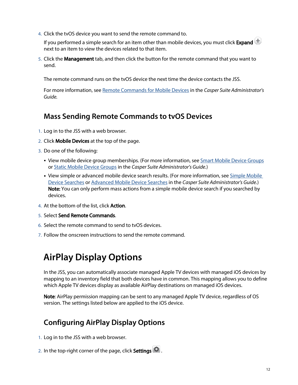4. Click the tvOS device you want to send the remote command to.

If you performed a simple search for an item other than mobile devices, you must click Expand  $\bigoplus$ next to an item to view the devices related to that item.

5. Click the Management tab, and then click the button for the remote command that you want to send.

The remote command runs on the tvOS device the next time the device contacts the JSS.

For more information, see [Remote Commands for Mobile Devices](http://docs.jamf.com/casper-suite/administrator-guide/Remote_Commands_for_Mobile_Devices.html) in the *Casper Suite Administrator's Guide.*

#### **Mass Sending Remote Commands to tvOS Devices**

- 1. Log in to the JSS with a web browser.
- 2. Click **Mobile Devices** at the top of the page.
- 3. Do one of the following:
	- View mobile device group memberships. (For more information, see **[Smart Mobile Device Groups](http://docs.jamf.com/casper-suite/administrator-guide/Smart_Mobile_Device_Groups.html)** or [Static Mobile Device Groups](http://docs.jamf.com/casper-suite/administrator-guide/Static_Mobile_Device_Groups.html) in the *Casper Suite Administrator's Guide.*)
	- View simple or advanced mobile device search results. (For more information, see Simple Mobile [Device Searches](http://docs.jamf.com/casper-suite/administrator-guide/Simple_Mobile_Device_Searches.html) or [Advanced Mobile Device Searches](http://docs.jamf.com/casper-suite/administrator-guide/Advanced_Mobile_Device_Searches.html) in the *Casper Suite Administrator's Guide.*) Note: You can only perform mass actions from a simple mobile device search if you searched by devices.
- 4. At the bottom of the list, click **Action**.
- 5. Select Send Remote Commands.
- 6. Select the remote command to send to tvOS devices.
- <span id="page-11-0"></span>7. Follow the onscreen instructions to send the remote command.

### **AirPlay Display Options**

In the JSS, you can automatically associate managed Apple TV devices with managed iOS devices by mapping to an inventory field that both devices have in common. This mapping allows you to define which Apple TV devices display as available AirPlay destinations on managed iOS devices.

Note: AirPlay permission mapping can be sent to any managed Apple TV device, regardless of OS version. The settings listed below are applied to the iOS device.

#### **Configuring AirPlay Display Options**

- 1. Log in to the JSS with a web browser.
- 2. In the top-right corner of the page, click **Settings [<del>3.6</del>**].